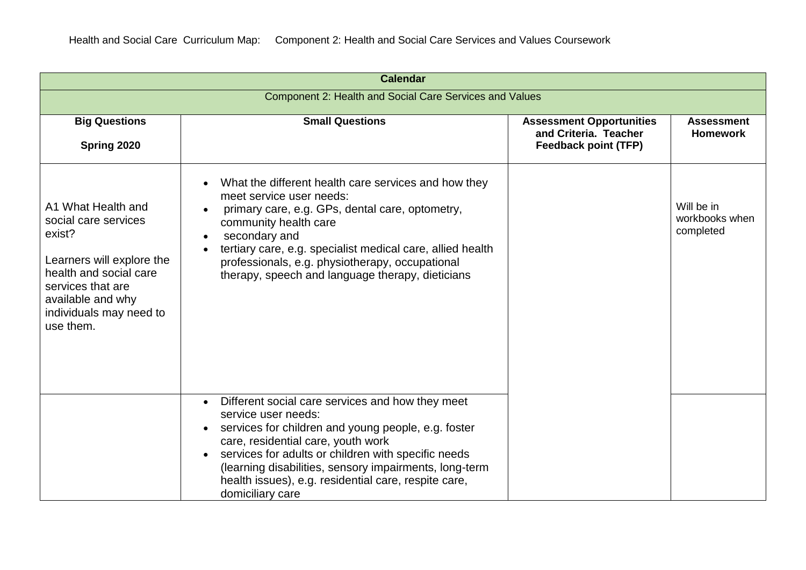| <b>Calendar</b>                                                                                                                                                                               |                                                                                                                                                                                                                                                                                                                                                                                |                                                                                         |                                           |  |  |  |
|-----------------------------------------------------------------------------------------------------------------------------------------------------------------------------------------------|--------------------------------------------------------------------------------------------------------------------------------------------------------------------------------------------------------------------------------------------------------------------------------------------------------------------------------------------------------------------------------|-----------------------------------------------------------------------------------------|-------------------------------------------|--|--|--|
| Component 2: Health and Social Care Services and Values                                                                                                                                       |                                                                                                                                                                                                                                                                                                                                                                                |                                                                                         |                                           |  |  |  |
| <b>Big Questions</b><br>Spring 2020                                                                                                                                                           | <b>Small Questions</b>                                                                                                                                                                                                                                                                                                                                                         | <b>Assessment Opportunities</b><br>and Criteria. Teacher<br><b>Feedback point (TFP)</b> | <b>Assessment</b><br><b>Homework</b>      |  |  |  |
| A1 What Health and<br>social care services<br>exist?<br>Learners will explore the<br>health and social care<br>services that are<br>available and why<br>individuals may need to<br>use them. | What the different health care services and how they<br>meet service user needs:<br>primary care, e.g. GPs, dental care, optometry,<br>community health care<br>secondary and<br>tertiary care, e.g. specialist medical care, allied health<br>professionals, e.g. physiotherapy, occupational<br>therapy, speech and language therapy, dieticians                             |                                                                                         | Will be in<br>workbooks when<br>completed |  |  |  |
|                                                                                                                                                                                               | Different social care services and how they meet<br>$\bullet$<br>service user needs:<br>services for children and young people, e.g. foster<br>care, residential care, youth work<br>services for adults or children with specific needs<br>(learning disabilities, sensory impairments, long-term<br>health issues), e.g. residential care, respite care,<br>domiciliary care |                                                                                         |                                           |  |  |  |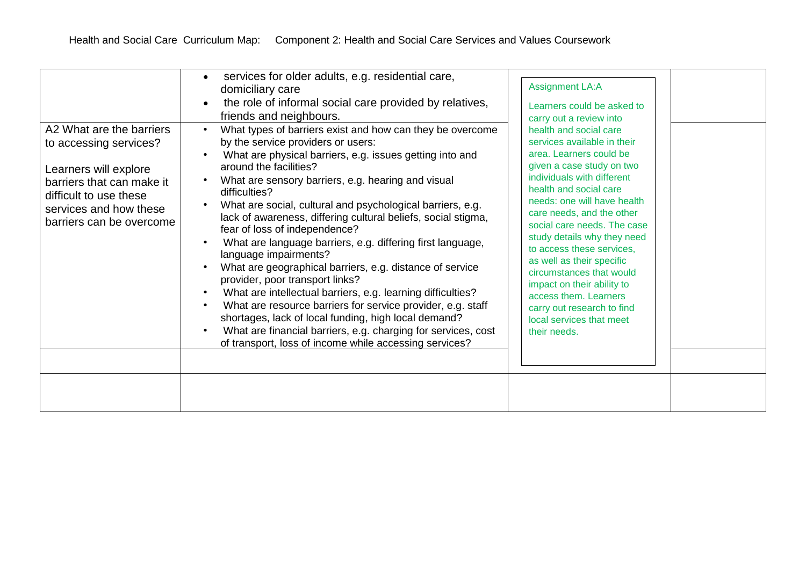| A2 What are the barriers<br>to accessing services?<br>Learners will explore<br>barriers that can make it<br>difficult to use these<br>services and how these<br>barriers can be overcome | services for older adults, e.g. residential care,<br>domiciliary care<br>the role of informal social care provided by relatives,<br>friends and neighbours.<br>What types of barriers exist and how can they be overcome<br>by the service providers or users:<br>What are physical barriers, e.g. issues getting into and<br>around the facilities?<br>What are sensory barriers, e.g. hearing and visual<br>difficulties?<br>What are social, cultural and psychological barriers, e.g.<br>lack of awareness, differing cultural beliefs, social stigma,<br>fear of loss of independence?<br>What are language barriers, e.g. differing first language,<br>language impairments?<br>What are geographical barriers, e.g. distance of service<br>provider, poor transport links?<br>What are intellectual barriers, e.g. learning difficulties?<br>What are resource barriers for service provider, e.g. staff<br>shortages, lack of local funding, high local demand?<br>What are financial barriers, e.g. charging for services, cost<br>of transport, loss of income while accessing services? | <b>Assignment LA:A</b><br>Learners could be asked to<br>carry out a review into<br>health and social care<br>services available in their<br>area. Learners could be<br>given a case study on two<br>individuals with different<br>health and social care<br>needs: one will have health<br>care needs, and the other<br>social care needs. The case<br>study details why they need<br>to access these services,<br>as well as their specific<br>circumstances that would<br>impact on their ability to<br>access them. Learners<br>carry out research to find<br>local services that meet<br>their needs. |  |
|------------------------------------------------------------------------------------------------------------------------------------------------------------------------------------------|----------------------------------------------------------------------------------------------------------------------------------------------------------------------------------------------------------------------------------------------------------------------------------------------------------------------------------------------------------------------------------------------------------------------------------------------------------------------------------------------------------------------------------------------------------------------------------------------------------------------------------------------------------------------------------------------------------------------------------------------------------------------------------------------------------------------------------------------------------------------------------------------------------------------------------------------------------------------------------------------------------------------------------------------------------------------------------------------------|-----------------------------------------------------------------------------------------------------------------------------------------------------------------------------------------------------------------------------------------------------------------------------------------------------------------------------------------------------------------------------------------------------------------------------------------------------------------------------------------------------------------------------------------------------------------------------------------------------------|--|
|                                                                                                                                                                                          |                                                                                                                                                                                                                                                                                                                                                                                                                                                                                                                                                                                                                                                                                                                                                                                                                                                                                                                                                                                                                                                                                                    |                                                                                                                                                                                                                                                                                                                                                                                                                                                                                                                                                                                                           |  |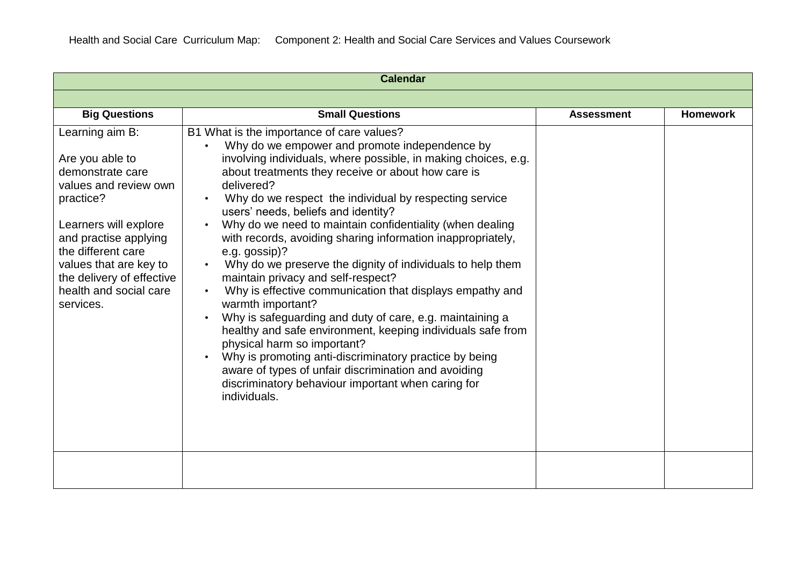| <b>Calendar</b>                                                                                                                                                                                                                                                    |                                                                                                                                                                                                                                                                                                                                                                                                                                                                                                                                                                                                                                                                                                                                                                                                                                                                                                                                                                                                                      |                   |                 |  |  |
|--------------------------------------------------------------------------------------------------------------------------------------------------------------------------------------------------------------------------------------------------------------------|----------------------------------------------------------------------------------------------------------------------------------------------------------------------------------------------------------------------------------------------------------------------------------------------------------------------------------------------------------------------------------------------------------------------------------------------------------------------------------------------------------------------------------------------------------------------------------------------------------------------------------------------------------------------------------------------------------------------------------------------------------------------------------------------------------------------------------------------------------------------------------------------------------------------------------------------------------------------------------------------------------------------|-------------------|-----------------|--|--|
|                                                                                                                                                                                                                                                                    |                                                                                                                                                                                                                                                                                                                                                                                                                                                                                                                                                                                                                                                                                                                                                                                                                                                                                                                                                                                                                      |                   |                 |  |  |
| <b>Big Questions</b>                                                                                                                                                                                                                                               | <b>Small Questions</b>                                                                                                                                                                                                                                                                                                                                                                                                                                                                                                                                                                                                                                                                                                                                                                                                                                                                                                                                                                                               | <b>Assessment</b> | <b>Homework</b> |  |  |
| Learning aim B:<br>Are you able to<br>demonstrate care<br>values and review own<br>practice?<br>Learners will explore<br>and practise applying<br>the different care<br>values that are key to<br>the delivery of effective<br>health and social care<br>services. | B1 What is the importance of care values?<br>Why do we empower and promote independence by<br>involving individuals, where possible, in making choices, e.g.<br>about treatments they receive or about how care is<br>delivered?<br>Why do we respect the individual by respecting service<br>users' needs, beliefs and identity?<br>Why do we need to maintain confidentiality (when dealing<br>with records, avoiding sharing information inappropriately,<br>e.g. gossip)?<br>Why do we preserve the dignity of individuals to help them<br>maintain privacy and self-respect?<br>Why is effective communication that displays empathy and<br>warmth important?<br>Why is safeguarding and duty of care, e.g. maintaining a<br>healthy and safe environment, keeping individuals safe from<br>physical harm so important?<br>Why is promoting anti-discriminatory practice by being<br>aware of types of unfair discrimination and avoiding<br>discriminatory behaviour important when caring for<br>individuals. |                   |                 |  |  |
|                                                                                                                                                                                                                                                                    |                                                                                                                                                                                                                                                                                                                                                                                                                                                                                                                                                                                                                                                                                                                                                                                                                                                                                                                                                                                                                      |                   |                 |  |  |